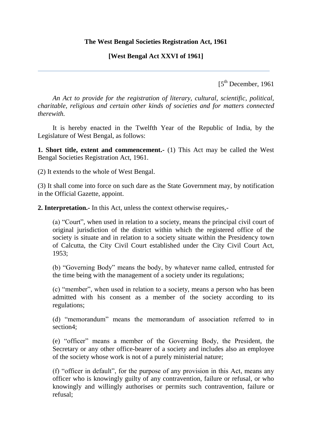#### **The West Bengal Societies Registration Act, 1961**

## **[West Bengal Act XXVI of 1961]**

 $[5<sup>th</sup> December, 1961]$ 

*An Act to provide for the registration of literary, cultural, scientific, political, charitable, religious and certain other kinds of societies and for matters connected therewith.*

It is hereby enacted in the Twelfth Year of the Republic of India, by the Legislature of West Bengal, as follows:

**1. Short title, extent and commencement.-** (1) This Act may be called the West Bengal Societies Registration Act, 1961.

(2) It extends to the whole of West Bengal.

(3) It shall come into force on such dare as the State Government may, by notification in the Official Gazette, appoint.

**2. Interpretation.-** In this Act, unless the context otherwise requires,-

(a) "Court", when used in relation to a society, means the principal civil court of original jurisdiction of the district within which the registered office of the society is situate and in relation to a society situate within the Presidency town of Calcutta, the City Civil Court established under the City Civil Court Act, 1953;

(b) "Governing Body" means the body, by whatever name called, entrusted for the time being with the management of a society under its regulations;

(c) "member", when used in relation to a society, means a person who has been admitted with his consent as a member of the society according to its regulations;

(d) "memorandum" means the memorandum of association referred to in section4;

(e) "officer" means a member of the Governing Body, the President, the Secretary or any other office-bearer of a society and includes also an employee of the society whose work is not of a purely ministerial nature;

(f) "officer in default", for the purpose of any provision in this Act, means any officer who is knowingly guilty of any contravention, failure or refusal, or who knowingly and willingly authorises or permits such contravention, failure or refusal;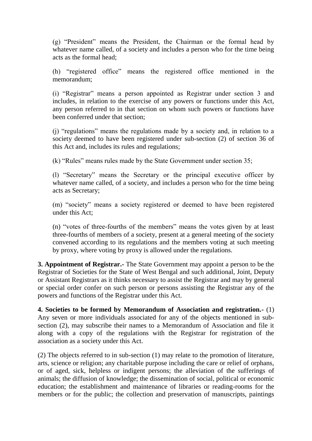$(g)$  "President" means the President, the Chairman or the formal head by whatever name called, of a society and includes a person who for the time being acts as the formal head;

(h) "registered office" means the registered office mentioned in the memorandum;

(i) "Registrar" means a person appointed as Registrar under section 3 and includes, in relation to the exercise of any powers or functions under this Act, any person referred to in that section on whom such powers or functions have been conferred under that section;

(i) "regulations" means the regulations made by a society and, in relation to a society deemed to have been registered under sub-section (2) of section 36 of this Act and, includes its rules and regulations;

(k) "Rules" means rules made by the State Government under section  $35$ ;

(I) "Secretary" means the Secretary or the principal executive officer by whatever name called, of a society, and includes a person who for the time being acts as Secretary;

(m) "society" means a society registered or deemed to have been registered under this Act;

(n) "votes of three-fourths of the members" means the votes given by at least three-fourths of members of a society, present at a general meeting of the society convened according to its regulations and the members voting at such meeting by proxy, where voting by proxy is allowed under the regulations.

**3. Appointment of Registrar.-** The State Government may appoint a person to be the Registrar of Societies for the State of West Bengal and such additional, Joint, Deputy or Assistant Registrars as it thinks necessary to assist the Registrar and may by general or special order confer on such person or persons assisting the Registrar any of the powers and functions of the Registrar under this Act.

**4. Societies to be formed by Memorandum of Association and registration.-** (1) Any seven or more individuals associated for any of the objects mentioned in subsection (2), may subscribe their names to a Memorandum of Association and file it along with a copy of the regulations with the Registrar for registration of the association as a society under this Act.

(2) The objects referred to in sub-section (1) may relate to the promotion of literature, arts, science or religion; any charitable purpose including the care or relief of orphans, or of aged, sick, helpless or indigent persons; the alleviation of the sufferings of animals; the diffusion of knowledge; the dissemination of social, political or economic education; the establishment and maintenance of libraries or reading-rooms for the members or for the public; the collection and preservation of manuscripts, paintings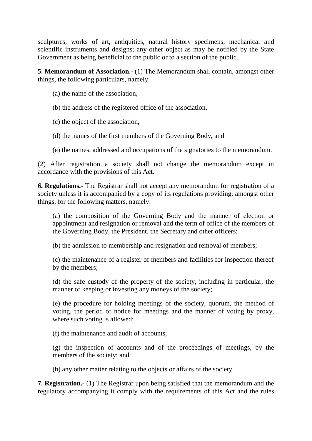sculptures, works of art, antiquities, natural history specimens, mechanical and scientific instruments and designs; any other object as may be notified by the State Government as being beneficial to the public or to a section of the public.

**5. Memorandum of Association.-** (1) The Memorandum shall contain, amongst other things, the following particulars, namely:

- (a) the name of the association,
- (b) the address of the registered office of the association,
- (c) the object of the association,
- (d) the names of the first members of the Governing Body, and
- (e) the names, addressed and occupations of the signatories to the memorandum.

(2) After registration a society shall not change the memorandum except in accordance with the provisions of this Act.

**6. Regulations.-** The Registrar shall not accept any memorandum for registration of a society unless it is accompanied by a copy of its regulations providing, amongst other things, for the following matters, namely:

(a) the composition of the Governing Body and the manner of election or appointment and resignation or removal and the term of office of the members of the Governing Body, the President, the Secretary and other officers;

(b) the admission to membership and resignation and removal of members;

(c) the maintenance of a register of members and facilities for inspection thereof by the members;

(d) the safe custody of the property of the society, including in particular, the manner of keeping or investing any moneys of the society;

(e) the procedure for holding meetings of the society, quorum, the method of voting, the period of notice for meetings and the manner of voting by proxy, where such voting is allowed;

(f) the maintenance and audit of accounts;

(g) the inspection of accounts and of the proceedings of meetings, by the members of the society; and

(h) any other matter relating to the objects or affairs of the society.

**7. Registration.-** (1) The Registrar upon being satisfied that the memorandum and the regulatory accompanying it comply with the requirements of this Act and the rules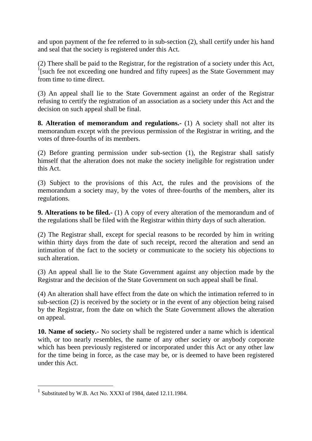and upon payment of the fee referred to in sub-section (2), shall certify under his hand and seal that the society is registered under this Act.

(2) There shall be paid to the Registrar, for the registration of a society under this Act, <sup>1</sup>[such fee not exceeding one hundred and fifty rupees] as the State Government may from time to time direct.

(3) An appeal shall lie to the State Government against an order of the Registrar refusing to certify the registration of an association as a society under this Act and the decision on such appeal shall be final.

**8. Alteration of memorandum and regulations.-** (1) A society shall not alter its memorandum except with the previous permission of the Registrar in writing, and the votes of three-fourths of its members.

(2) Before granting permission under sub-section (1), the Registrar shall satisfy himself that the alteration does not make the society ineligible for registration under this Act.

(3) Subject to the provisions of this Act, the rules and the provisions of the memorandum a society may, by the votes of three-fourths of the members, alter its regulations.

**9. Alterations to be filed.-** (1) A copy of every alteration of the memorandum and of the regulations shall be filed with the Registrar within thirty days of such alteration.

(2) The Registrar shall, except for special reasons to be recorded by him in writing within thirty days from the date of such receipt, record the alteration and send an intimation of the fact to the society or communicate to the society his objections to such alteration.

(3) An appeal shall lie to the State Government against any objection made by the Registrar and the decision of the State Government on such appeal shall be final.

(4) An alteration shall have effect from the date on which the intimation referred to in sub-section (2) is received by the society or in the event of any objection being raised by the Registrar, from the date on which the State Government allows the alteration on appeal.

**10. Name of society.-** No society shall be registered under a name which is identical with, or too nearly resembles, the name of any other society or anybody corporate which has been previously registered or incorporated under this Act or any other law for the time being in force, as the case may be, or is deemed to have been registered under this Act.

 $\overline{a}$ 

<sup>&</sup>lt;sup>1</sup> Substituted by W.B. Act No. XXXI of 1984, dated 12.11.1984.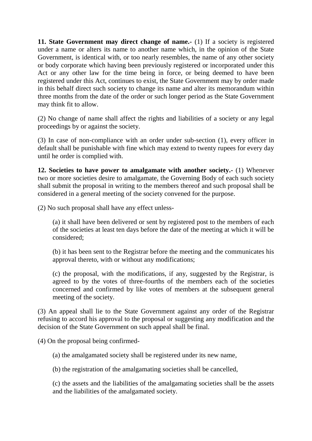**11. State Government may direct change of name.** (1) If a society is registered under a name or alters its name to another name which, in the opinion of the State Government, is identical with, or too nearly resembles, the name of any other society or body corporate which having been previously registered or incorporated under this Act or any other law for the time being in force, or being deemed to have been registered under this Act, continues to exist, the State Government may by order made in this behalf direct such society to change its name and alter its memorandum within three months from the date of the order or such longer period as the State Government may think fit to allow.

(2) No change of name shall affect the rights and liabilities of a society or any legal proceedings by or against the society.

(3) In case of non-compliance with an order under sub-section (1), every officer in default shall be punishable with fine which may extend to twenty rupees for every day until he order is complied with.

**12. Societies to have power to amalgamate with another society.-** (1) Whenever two or more societies desire to amalgamate, the Governing Body of each such society shall submit the proposal in writing to the members thereof and such proposal shall be considered in a general meeting of the society convened for the purpose.

(2) No such proposal shall have any effect unless-

(a) it shall have been delivered or sent by registered post to the members of each of the societies at least ten days before the date of the meeting at which it will be considered;

(b) it has been sent to the Registrar before the meeting and the communicates his approval thereto, with or without any modifications;

(c) the proposal, with the modifications, if any, suggested by the Registrar, is agreed to by the votes of three-fourths of the members each of the societies concerned and confirmed by like votes of members at the subsequent general meeting of the society.

(3) An appeal shall lie to the State Government against any order of the Registrar refusing to accord his approval to the proposal or suggesting any modification and the decision of the State Government on such appeal shall be final.

(4) On the proposal being confirmed-

(a) the amalgamated society shall be registered under its new name,

(b) the registration of the amalgamating societies shall be cancelled,

(c) the assets and the liabilities of the amalgamating societies shall be the assets and the liabilities of the amalgamated society.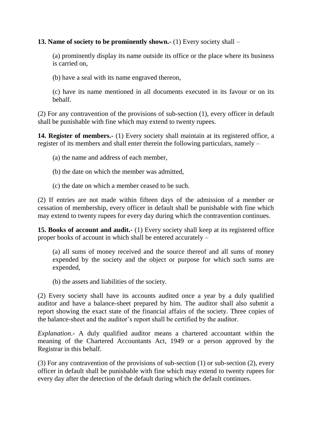**13. Name of society to be prominently shown.-** (1) Every society shall –

(a) prominently display its name outside its office or the place where its business is carried on,

(b) have a seal with its name engraved thereon,

(c) have its name mentioned in all documents executed in its favour or on its behalf.

(2) For any contravention of the provisions of sub-section (1), every officer in default shall be punishable with fine which may extend to twenty rupees.

**14. Register of members.-** (1) Every society shall maintain at its registered office, a register of its members and shall enter therein the following particulars, namely –

- (a) the name and address of each member,
- (b) the date on which the member was admitted,
- (c) the date on which a member ceased to be such.

(2) If entries are not made within fifteen days of the admission of a member or cessation of membership, every officer in default shall be punishable with fine which may extend to twenty rupees for every day during which the contravention continues.

**15. Books of account and audit.-** (1) Every society shall keep at its registered office proper books of account in which shall be entered accurately –

(a) all sums of money received and the source thereof and all sums of money expended by the society and the object or purpose for which such sums are expended,

(b) the assets and liabilities of the society.

(2) Every society shall have its accounts audited once a year by a duly qualified auditor and have a balance-sheet prepared by him. The auditor shall also submit a report showing the exact state of the financial affairs of the society. Three copies of the balance-sheet and the auditor's report shall be certified by the auditor.

*Explanation*.- A duly qualified auditor means a chartered accountant within the meaning of the Chartered Accountants Act, 1949 or a person approved by the Registrar in this behalf.

(3) For any contravention of the provisions of sub-section (1) or sub-section (2), every officer in default shall be punishable with fine which may extend to twenty rupees for every day after the detection of the default during which the default continues.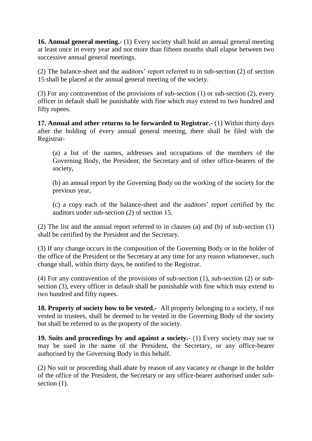**16. Annual general meeting.-** (1) Every society shall hold an annual general meeting at least once in every year and not more than fifteen months shall elapse between two successive annual general meetings.

(2) The balance-sheet and the auditors' report referred to in sub-section (2) of section 15 shall be placed at the annual general meeting of the society.

(3) For any contravention of the provisions of sub-section (1) or sub-section (2), every officer in default shall be punishable with fine which may extend to two hundred and fifty rupees.

**17. Annual and other returns to be forwarded to Registrar.-** (1) Within thirty days after the holding of every annual general meeting, there shall be filed with the Registrar-

(a) a list of the names, addresses and occupations of the members of the Governing Body, the President, the Secretary and of other office-bearers of the society,

(b) an annual report by the Governing Body on the working of the society for the previous year,

(c) a copy each of the balance-sheet and the auditors' report certified by the auditors under sub-section (2) of section 15.

(2) The list and the annual report referred to in clauses (a) and (b) of sub-section (1) shall be certified by the President and the Secretary.

(3) If any change occurs in the composition of the Governing Body or in the holder of the office of the President or the Secretary at any time for any reason whatsoever, such change shall, within thirty days, be notified to the Registrar.

(4) For any contravention of the provisions of sub-section (1), sub-section (2) or subsection (3), every officer in default shall be punishable with fine which may extend to two hundred and fifty rupees.

**18. Property of society how to be vested.-** All property belonging to a society, if not vested in trustees, shall be deemed to be vested in the Governing Body of the society but shall be referred to as the property of the society.

**19. Suits and proceedings by and against a society.-** (1) Every society may sue or may be sued in the name of the President, the Secretary, or any office-bearer authorised by the Governing Body in this behalf.

(2) No suit or proceeding shall abate by reason of any vacancy or change in the holder of the office of the President, the Secretary or any office-bearer authorised under subsection  $(1)$ .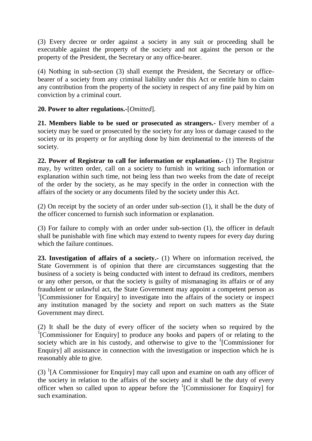(3) Every decree or order against a society in any suit or proceeding shall be executable against the property of the society and not against the person or the property of the President, the Secretary or any office-bearer.

(4) Nothing in sub-section (3) shall exempt the President, the Secretary or officebearer of a society from any criminal liability under this Act or entitle him to claim any contribution from the property of the society in respect of any fine paid by him on conviction by a criminal court.

## **20. Power to alter regulations.-**[*Omitted*].

**21. Members liable to be sued or prosecuted as strangers.-** Every member of a society may be sued or prosecuted by the society for any loss or damage caused to the society or its property or for anything done by him detrimental to the interests of the society.

**22. Power of Registrar to call for information or explanation.-** (1) The Registrar may, by written order, call on a society to furnish in writing such information or explanation within such time, not being less than two weeks from the date of receipt of the order by the society, as he may specify in the order in connection with the affairs of the society or any documents filed by the society under this Act.

(2) On receipt by the society of an order under sub-section (1), it shall be the duty of the officer concerned to furnish such information or explanation.

(3) For failure to comply with an order under sub-section (1), the officer in default shall be punishable with fine which may extend to twenty rupees for every day during which the failure continues.

**23. Investigation of affairs of a society.-** (1) Where on information received, the State Government is of opinion that there are circumstances suggesting that the business of a society is being conducted with intent to defraud its creditors, members or any other person, or that the society is guilty of mismanaging its affairs or of any fraudulent or unlawful act, the State Government may appoint a competent person as <sup>1</sup>[Commissioner for Enquiry] to investigate into the affairs of the society or inspect any institution managed by the society and report on such matters as the State Government may direct.

(2) It shall be the duty of every officer of the society when so required by the <sup>1</sup>[Commissioner for Enquiry] to produce any books and papers of or relating to the society which are in his custody, and otherwise to give to the  ${}^{1}$ [Commissioner for Enquiry] all assistance in connection with the investigation or inspection which he is reasonably able to give.

(3)  ${}^{1}$ [A Commissioner for Enquiry] may call upon and examine on oath any officer of the society in relation to the affairs of the society and it shall be the duty of every officer when so called upon to appear before the  ${}^{1}$ [Commissioner for Enquiry] for such examination.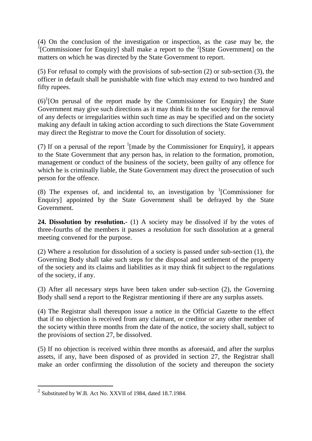(4) On the conclusion of the investigation or inspection, as the case may be, the <sup>1</sup>[Commissioner for Enquiry] shall make a report to the <sup>2</sup>[State Government] on the matters on which he was directed by the State Government to report.

(5) For refusal to comply with the provisions of sub-section (2) or sub-section (3), the officer in default shall be punishable with fine which may extend to two hundred and fifty rupees.

 $(6)^{1}$ [On perusal of the report made by the Commissioner for Enquiry] the State Government may give such directions as it may think fit to the society for the removal of any defects or irregularities within such time as may be specified and on the society making any default in taking action according to such directions the State Government may direct the Registrar to move the Court for dissolution of society.

(7) If on a perusal of the report  $\frac{1}{2}$  [made by the Commissioner for Enquiry], it appears to the State Government that any person has, in relation to the formation, promotion, management or conduct of the business of the society, been guilty of any offence for which he is criminally liable, the State Government may direct the prosecution of such person for the offence.

(8) The expenses of, and incidental to, an investigation by  $\frac{1}{2}$ [Commissioner for Enquiry] appointed by the State Government shall be defrayed by the State Government.

**24. Dissolution by resolution.-** (1) A society may be dissolved if by the votes of three-fourths of the members it passes a resolution for such dissolution at a general meeting convened for the purpose.

(2) Where a resolution for dissolution of a society is passed under sub-section (1), the Governing Body shall take such steps for the disposal and settlement of the property of the society and its claims and liabilities as it may think fit subject to the regulations of the society, if any.

(3) After all necessary steps have been taken under sub-section (2), the Governing Body shall send a report to the Registrar mentioning if there are any surplus assets.

(4) The Registrar shall thereupon issue a notice in the Official Gazette to the effect that if no objection is received from any claimant, or creditor or any other member of the society within three months from the date of the notice, the society shall, subject to the provisions of section 27, be dissolved.

(5) If no objection is received within three months as aforesaid, and after the surplus assets, if any, have been disposed of as provided in section 27, the Registrar shall make an order confirming the dissolution of the society and thereupon the society

 $\overline{a}$ 

 $2$  Substituted by W.B. Act No. XXVII of 1984, dated 18.7.1984.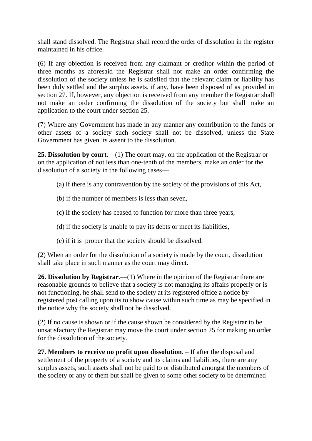shall stand dissolved. The Registrar shall record the order of dissolution in the register maintained in his office.

(6) If any objection is received from any claimant or creditor within the period of three months as aforesaid the Registrar shall not make an order confirming the dissolution of the society unless he is satisfied that the relevant claim or liability has been duly settled and the surplus assets, if any, have been disposed of as provided in section 27. If, however, any objection is received from any member the Registrar shall not make an order confirming the dissolution of the society but shall make an application to the court under section 25.

(7) Where any Government has made in any manner any contribution to the funds or other assets of a society such society shall not be dissolved, unless the State Government has given its assent to the dissolution.

**25. Dissolution by court**.—(1) The court may, on the application of the Registrar or on the application of not less than one-tenth of the members, make an order for the dissolution of a society in the following cases—

- (a) if there is any contravention by the society of the provisions of this Act,
- (b) if the number of members is less than seven,
- (c) if the society has ceased to function for more than three years,
- (d) if the society is unable to pay its debts or meet its liabilities,
- (e) if it is proper that the society should be dissolved.

(2) When an order for the dissolution of a society is made by the court, dissolution shall take place in such manner as the court may direct.

**26. Dissolution by Registrar**.—(1) Where in the opinion of the Registrar there are reasonable grounds to believe that a society is not managing its affairs properly or is not functioning, he shall send to the society at its registered office a notice by registered post calling upon its to show cause within such time as may be specified in the notice why the society shall not be dissolved.

(2) If no cause is shown or if the cause shown be considered by the Registrar to be unsatisfactory the Registrar may move the court under section 25 for making an order for the dissolution of the society.

**27. Members to receive no profit upon dissolution**. – If after the disposal and settlement of the property of a society and its claims and liabilities, there are any surplus assets, such assets shall not be paid to or distributed amongst the members of the society or any of them but shall be given to some other society to be determined –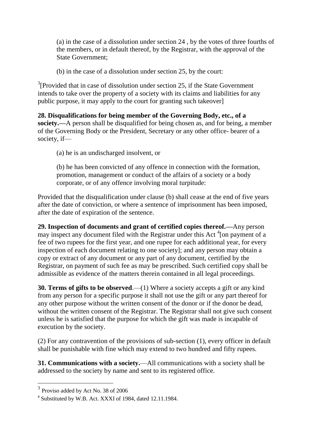(a) in the case of a dissolution under section 24 , by the votes of three fourths of the members, or in default thereof, by the Registrar, with the approval of the State Government;

(b) in the case of a dissolution under section 25, by the court:

<sup>3</sup>[Provided that in case of dissolution under section 25, if the State Government intends to take over the property of a society with its claims and liabilities for any public purpose, it may apply to the court for granting such takeover]

**28. Disqualifications for being member of the Governing Body, etc., of a society.—**A person shall be disqualified for being chosen as, and for being, a member of the Governing Body or the President, Secretary or any other office- bearer of a society, if—

(a) he is an undischarged insolvent, or

(b) he has been convicted of any offence in connection with the formation, promotion, management or conduct of the affairs of a society or a body corporate, or of any offence involving moral turpitude:

Provided that the disqualification under clause (b) shall cease at the end of five years after the date of conviction, or where a sentence of imprisonment has been imposed, after the date of expiration of the sentence.

**29. Inspection of documents and grant of certified copies thereof.—**Any person may inspect any document filed with the Registrar under this Act<sup>4</sup> [on payment of a fee of two rupees for the first year, and one rupee for each additional year, for every inspection of each document relating to one society]; and any person may obtain a copy or extract of any document or any part of any document, certified by the Registrar, on payment of such fee as may be prescribed. Such certified copy shall be admissible as evidence of the matters therein contained in all legal proceedings.

**30. Terms of gifts to be observed**.—(1) Where a society accepts a gift or any kind from any person for a specific purpose it shall not use the gift or any part thereof for any other purpose without the written consent of the donor or if the donor be dead, without the written consent of the Registrar. The Registrar shall not give such consent unless he is satisfied that the purpose for which the gift was made is incapable of execution by the society.

(2) For any contravention of the provisions of sub-section (1), every officer in default shall be punishable with fine which may extend to two hundred and fifty rupees.

**31. Communications with a society.**—All communications with a society shall be addressed to the society by name and sent to its registered office.

 $\overline{a}$ 

<sup>&</sup>lt;sup>3</sup> Proviso added by Act No. 38 of 2006

<sup>&</sup>lt;sup>4</sup> Substituted by W.B. Act. XXXI of 1984, dated 12.11.1984.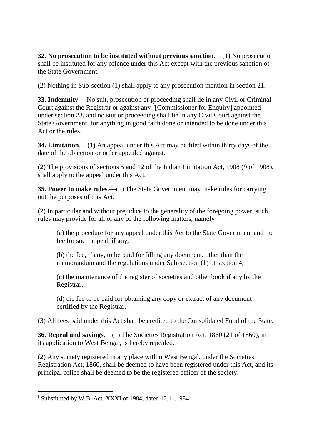**32. No prosecution to be instituted without previous sanction**. – (1) No prosecution shall be instituted for any offence under this Act except with the previous sanction of the State Government.

(2) Nothing in Sub-section (1) shall apply to any prosecution mention in section 21.

**33. Indemnity**.—No suit, prosecution or proceeding shall lie in any Civil or Criminal Court against the Registrar or against any  $5$ [Commissioner for Enquiry] appointed under section 23, and no suit or proceeding shall lie in any Civil Court against the State Government, for anything in good faith done or intended to be done under this Act or the rules.

**34. Limitation**.—(1) An appeal under this Act may be filed within thirty days of the date of the objection or order appealed against.

(2) The provisions of sections 5 and 12 of the Indian Limitation Act, 1908 (9 of 1908), shall apply to the appeal under this Act.

**35. Power to make rules**.—(1) The State Government may make rules for carrying out the purposes of this Act.

(2) In particular and without prejudice to the generality of the foregoing power, such rules may provide for all or any of the following matters, namely—

(a) the procedure for any appeal under this Act to the State Government and the fee for such appeal, if any,

(b) the fee, if any, to be paid for filling any document, other than the memorandum and the regulations under Sub-section (1) of section 4,

(c) the maintenance of the register of societies and other book if any by the Registrar,

(d) the fee to be paid for obtaining any copy or extract of any document certified by the Registrar.

(3) All fees paid under this Act shall be credited to the Consolidated Fund of the State.

**36. Repeal and savings**.—(1) The Societies Registration Act, 1860 (21 of 1860), in its application to West Bengal, is hereby repealed.

(2) Any society registered in any place within West Bengal, under the Societies Registration Act, 1860, shall be deemed to have been registered under this Act, and its principal office shall be deemed to be the registered officer of the society:

 $\overline{a}$ 5 Substituted by W.B. Act. XXXI of 1984, dated 12.11.1984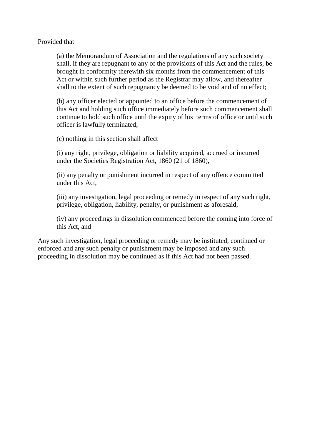Provided that—

(a) the Memorandum of Association and the regulations of any such society shall, if they are repugnant to any of the provisions of this Act and the rules, be brought in conformity therewith six months from the commencement of this Act or within such further period as the Registrar may allow, and thereafter shall to the extent of such repugnancy be deemed to be void and of no effect;

(b) any officer elected or appointed to an office before the commencement of this Act and holding such office immediately before such commencement shall continue to hold such office until the expiry of his terms of office or until such officer is lawfully terminated;

(c) nothing in this section shall affect—

(i) any right, privilege, obligation or liability acquired, accrued or incurred under the Societies Registration Act, 1860 (21 of 1860),

(ii) any penalty or punishment incurred in respect of any offence committed under this Act,

(iii) any investigation, legal proceeding or remedy in respect of any such right, privilege, obligation, liability, penalty, or punishment as aforesaid,

(iv) any proceedings in dissolution commenced before the coming into force of this Act, and

Any such investigation, legal proceeding or remedy may be instituted, continued or enforced and any such penalty or punishment may be imposed and any such proceeding in dissolution may be continued as if this Act had not been passed.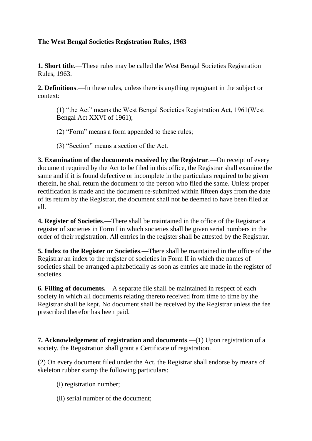## **The West Bengal Societies Registration Rules, 1963**

**1. Short title**.—These rules may be called the West Bengal Societies Registration Rules, 1963.

**2. Definitions**.—In these rules, unless there is anything repugnant in the subject or context:

 $(1)$  "the Act" means the West Bengal Societies Registration Act, 1961(West) Bengal Act XXVI of 1961);

- $(2)$  "Form" means a form appended to these rules;
- $(3)$  "Section" means a section of the Act.

**3. Examination of the documents received by the Registrar**.—On receipt of every document required by the Act to be filed in this office, the Registrar shall examine the same and if it is found defective or incomplete in the particulars required to be given therein, he shall return the document to the person who filed the same. Unless proper rectification is made and the document re-submitted within fifteen days from the date of its return by the Registrar, the document shall not be deemed to have been filed at all.

**4. Register of Societies**.—There shall be maintained in the office of the Registrar a register of societies in Form I in which societies shall be given serial numbers in the order of their registration. All entries in the register shall be attested by the Registrar.

**5. Index to the Register or Societies**.—There shall be maintained in the office of the Registrar an index to the register of societies in Form II in which the names of societies shall be arranged alphabetically as soon as entries are made in the register of societies.

**6. Filling of documents.**—A separate file shall be maintained in respect of each society in which all documents relating thereto received from time to time by the Registrar shall be kept. No document shall be received by the Registrar unless the fee prescribed therefor has been paid.

**7. Acknowledgement of registration and documents**.—(1) Upon registration of a society, the Registration shall grant a Certificate of registration.

(2) On every document filed under the Act, the Registrar shall endorse by means of skeleton rubber stamp the following particulars:

- (i) registration number;
- (ii) serial number of the document;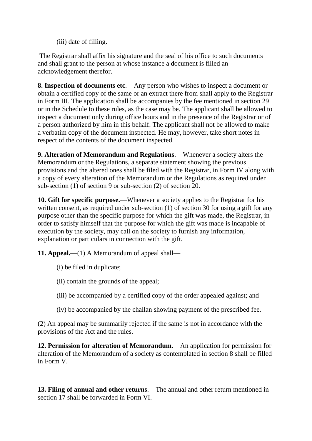(iii) date of filling.

The Registrar shall affix his signature and the seal of his office to such documents and shall grant to the person at whose instance a document is filled an acknowledgement therefor.

**8. Inspection of documents etc**.—Any person who wishes to inspect a document or obtain a certified copy of the same or an extract there from shall apply to the Registrar in Form III. The application shall be accompanies by the fee mentioned in section 29 or in the Schedule to these rules, as the case may be. The applicant shall be allowed to inspect a document only during office hours and in the presence of the Registrar or of a person authorized by him in this behalf. The applicant shall not be allowed to make a verbatim copy of the document inspected. He may, however, take short notes in respect of the contents of the document inspected.

**9. Alteration of Memorandum and Regulations**.—Whenever a society alters the Memorandum or the Regulations, a separate statement showing the previous provisions and the altered ones shall be filed with the Registrar, in Form IV along with a copy of every alteration of the Memorandum or the Regulations as required under sub-section (1) of section 9 or sub-section (2) of section 20.

**10. Gift for specific purpose.**—Whenever a society applies to the Registrar for his written consent, as required under sub-section (1) of section 30 for using a gift for any purpose other than the specific purpose for which the gift was made, the Registrar, in order to satisfy himself that the purpose for which the gift was made is incapable of execution by the society, may call on the society to furnish any information, explanation or particulars in connection with the gift.

**11. Appeal.**—(1) A Memorandum of appeal shall—

- (i) be filed in duplicate;
- (ii) contain the grounds of the appeal;
- (iii) be accompanied by a certified copy of the order appealed against; and
- (iv) be accompanied by the challan showing payment of the prescribed fee.

(2) An appeal may be summarily rejected if the same is not in accordance with the provisions of the Act and the rules.

**12. Permission for alteration of Memorandum**.—An application for permission for alteration of the Memorandum of a society as contemplated in section 8 shall be filled in Form V.

**13. Filing of annual and other returns**.—The annual and other return mentioned in section 17 shall be forwarded in Form VI.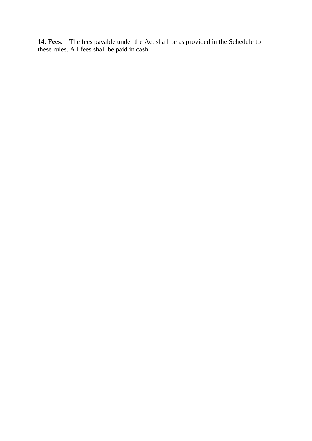**14. Fees**.—The fees payable under the Act shall be as provided in the Schedule to these rules. All fees shall be paid in cash.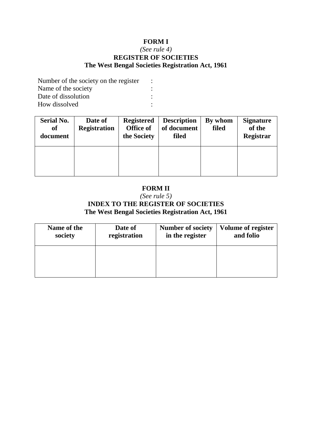# **FORM I**

## *(See rule 4)* **REGISTER OF SOCIETIES The West Bengal Societies Registration Act, 1961**

Number of the society on the register : Name of the society : Date of dissolution : How dissolved :

| <b>Serial No.</b><br><b>of</b><br>document | Date of<br><b>Registration</b> | <b>Registered</b><br><b>Office of</b><br>the Society | <b>Description</b><br>of document<br>filed | By whom<br>filed | <b>Signature</b><br>of the<br>Registrar |
|--------------------------------------------|--------------------------------|------------------------------------------------------|--------------------------------------------|------------------|-----------------------------------------|
|                                            |                                |                                                      |                                            |                  |                                         |

# **FORM II**

## *(See rule 5)* **INDEX TO THE REGISTER OF SOCIETIES The West Bengal Societies Registration Act, 1961**

| Name of the | Date of      | <b>Number of society</b> | <b>Volume of register</b> |
|-------------|--------------|--------------------------|---------------------------|
| society     | registration | in the register          | and folio                 |
|             |              |                          |                           |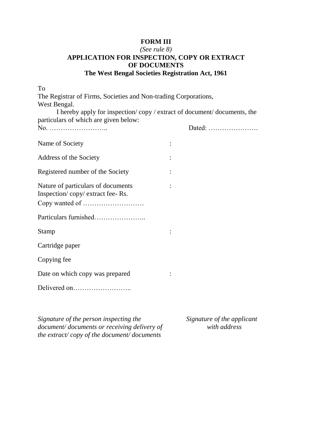### **FORM III**

## *(See rule 8)* **APPLICATION FOR INSPECTION, COPY OR EXTRACT OF DOCUMENTS The West Bengal Societies Registration Act, 1961**

| To                                                                    |        |  |
|-----------------------------------------------------------------------|--------|--|
| The Registrar of Firms, Societies and Non-trading Corporations,       |        |  |
| West Bengal.                                                          |        |  |
| I hereby apply for inspection/copy/extract of document/documents, the |        |  |
| particulars of which are given below:                                 |        |  |
|                                                                       | Dated: |  |
| Name of Society                                                       |        |  |
| Address of the Society                                                |        |  |
| Registered number of the Society                                      |        |  |
| Nature of particulars of documents                                    |        |  |
| Inspection/copy/extract fee-Rs.                                       |        |  |
|                                                                       |        |  |
| Particulars furnished                                                 |        |  |
| <b>Stamp</b>                                                          |        |  |
| Cartridge paper                                                       |        |  |
| Copying fee                                                           |        |  |
| Date on which copy was prepared                                       |        |  |
|                                                                       |        |  |
|                                                                       |        |  |

*Signature of the person inspecting the document/ documents or receiving delivery of the extract/ copy of the document/ documents*

*Signature of the applicant with address*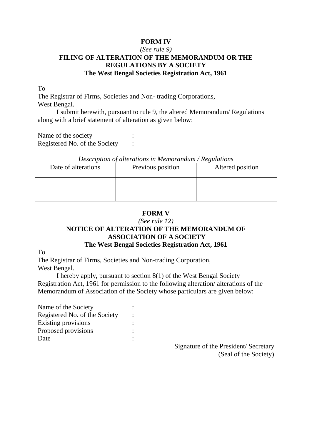## **FORM IV**

## *(See rule 9)* **FILING OF ALTERATION OF THE MEMORANDUM OR THE REGULATIONS BY A SOCIETY The West Bengal Societies Registration Act, 1961**

To

The Registrar of Firms, Societies and Non- trading Corporations, West Bengal.

I submit herewith, pursuant to rule 9, the altered Memorandum/ Regulations along with a brief statement of alteration as given below:

Name of the society Registered No. of the Society :

#### *Description of alterations in Memorandum / Regulations*

| Date of alterations | Previous position | Altered position |
|---------------------|-------------------|------------------|
|                     |                   |                  |

## **FORM V**

#### *(See rule 12)*

## **NOTICE OF ALTERATION OF THE MEMORANDUM OF ASSOCIATION OF A SOCIETY The West Bengal Societies Registration Act, 1961**

To

The Registrar of Firms, Societies and Non-trading Corporation, West Bengal.

I hereby apply, pursuant to section 8(1) of the West Bengal Society Registration Act, 1961 for permission to the following alteration/ alterations of the Memorandum of Association of the Society whose particulars are given below:

| Name of the Society           |  |
|-------------------------------|--|
| Registered No. of the Society |  |
| <b>Existing provisions</b>    |  |
| Proposed provisions           |  |
| Date                          |  |
|                               |  |

Signature of the President/ Secretary (Seal of the Society)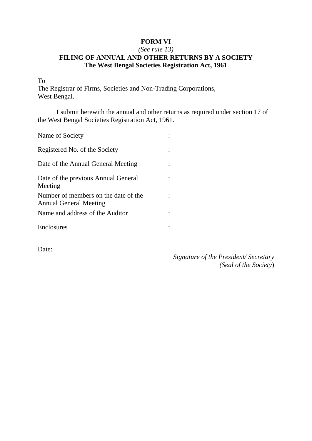# **FORM VI**

## *(See rule 13)* **FILING OF ANNUAL AND OTHER RETURNS BY A SOCIETY The West Bengal Societies Registration Act, 1961**

To

The Registrar of Firms, Societies and Non-Trading Corporations, West Bengal.

I submit herewith the annual and other returns as required under section 17 of the West Bengal Societies Registration Act, 1961.

| Name of Society                                                       |  |
|-----------------------------------------------------------------------|--|
| Registered No. of the Society                                         |  |
| Date of the Annual General Meeting                                    |  |
| Date of the previous Annual General<br>Meeting                        |  |
| Number of members on the date of the<br><b>Annual General Meeting</b> |  |
| Name and address of the Auditor                                       |  |
| Enclosures                                                            |  |

Date:

*Signature of the President/ Secretary (Seal of the Society*)